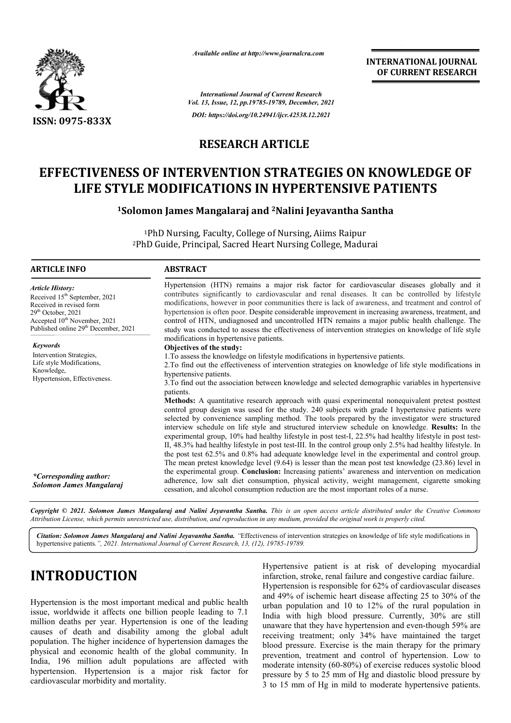

*Available online at http://www.journalcra.com*

**INTERNATIONAL JOURNAL OF CURRENT RESEARCH**

*International Journal of Current Research Vol. 13, Issue, 12, pp.19785-19789, December, 2021 DOI: https://doi.org/10.24941/ijcr.42538.12.2021*

### **RESEARCH ARTICLE**

# **EFFECTIVENESS OF INTERVENTION STRATEGIES ON KNOWLEDGE OF LIFE STYLE MODIFICATIONS IN HYPERTENSIVE PATIENTS OF INTERVENTION STRATEGIES ON<br>: MODIFICATIONS IN HYPERTENSIVE<br>mon James Mangalaraj and <sup>2</sup>Nalini Jeyavantha Sa**

<sup>1</sup>Solomon James Mangalaraj and <sup>2</sup>Nalini Jeyavantha Santha

1PhD Nursing, Faculty, College of Nursing, Aiims Raipur <sup>1</sup>PhD Nursing, Faculty, College of Nursing, Aiims Raipur<br><sup>2</sup>PhD Guide, Principal, Sacred Heart Nursing College, Madurai

| <b>ARTICLE INFO</b>                                                                                                                                                                                                      | <b>ABSTRACT</b>                                                                                                                                                                                                                                                                                                                                                                                                                                                                                                                                                                                                                                                                                                                                                                                                                                                                                                                                                                                                                                                                                                          |
|--------------------------------------------------------------------------------------------------------------------------------------------------------------------------------------------------------------------------|--------------------------------------------------------------------------------------------------------------------------------------------------------------------------------------------------------------------------------------------------------------------------------------------------------------------------------------------------------------------------------------------------------------------------------------------------------------------------------------------------------------------------------------------------------------------------------------------------------------------------------------------------------------------------------------------------------------------------------------------------------------------------------------------------------------------------------------------------------------------------------------------------------------------------------------------------------------------------------------------------------------------------------------------------------------------------------------------------------------------------|
| <b>Article History:</b><br>Received 15 <sup>th</sup> September, 2021<br>Received in revised form<br>$29th$ October, 2021<br>Accepted 10 <sup>th</sup> November, 2021<br>Published online 29 <sup>th</sup> December, 2021 | Hypertension (HTN) remains a major risk factor for cardiovascular diseases globally and it<br>contributes significantly to cardiovascular and renal diseases. It can be controlled by lifestyle<br>modifications, however in poor communities there is lack of awareness, and treatment and control of<br>hypertension is often poor. Despite considerable improvement in increasing awareness, treatment, and<br>control of HTN, undiagnosed and uncontrolled HTN remains a major public health challenge. The<br>study was conducted to assess the effectiveness of intervention strategies on knowledge of life style                                                                                                                                                                                                                                                                                                                                                                                                                                                                                                 |
| Keywords                                                                                                                                                                                                                 | modifications in hypertensive patients.                                                                                                                                                                                                                                                                                                                                                                                                                                                                                                                                                                                                                                                                                                                                                                                                                                                                                                                                                                                                                                                                                  |
| Intervention Strategies,<br>Life style Modifications,<br>Knowledge,<br>Hypertension, Effectiveness.                                                                                                                      | Objectives of the study:<br>1. To assess the knowledge on lifestyle modifications in hypertensive patients.<br>2. To find out the effectiveness of intervention strategies on knowledge of life style modifications in<br>hypertensive patients.<br>3. To find out the association between knowledge and selected demographic variables in hypertensive<br>patients.<br><b>Methods:</b> A quantitative research approach with quasi experimental nonequivalent pretest posttest<br>control group design was used for the study. 240 subjects with grade I hypertensive patients were<br>selected by convenience sampling method. The tools prepared by the investigator were structured<br>interview schedule on life style and structured interview schedule on knowledge. Results: In the<br>experimental group, 10% had healthy lifestyle in post test-I, 22.5% had healthy lifestyle in post test-<br>II, 48.3% had healthy lifestyle in post test-III. In the control group only 2.5% had healthy lifestyle. In<br>the post test 62.5% and 0.8% had adequate knowledge level in the experimental and control group. |
| *Corresponding author:<br>Solomon James Mangalaraj                                                                                                                                                                       | The mean pretest knowledge level $(9.64)$ is lesser than the mean post test knowledge $(23.86)$ level in<br>the experimental group. Conclusion: Increasing patients' awareness and intervention on medication<br>adherence, low salt diet consumption, physical activity, weight management, cigarette smoking<br>cessation, and alcohol consumption reduction are the most important roles of a nurse.                                                                                                                                                                                                                                                                                                                                                                                                                                                                                                                                                                                                                                                                                                                  |

Copyright © 2021. Solomon James Mangalaraj and Nalini Jeyavantha Santha. This is an open access article distributed under the Creative Commons Attribution License, which permits unrestricted use, distribution, and reproduction in any medium, provided the original work is properly cited.

Citation: Solomon James Mangalaraj and Nalini Jeyavantha Santha. "Effectiveness of intervention strategies on knowledge of life style modifications in hypertensive patients.*", 2021. International Journal of Current Research, 13, (12), 19785-19789.*

# **INTRODUCTION**

Hypertension is the most important medical and public health issue, worldwide it affects one billion people leading to 7.1 million deaths per year. Hypertension is one of the leading causes of death and disability among the global adult population. The higher incidence of hypertension damages the physical and economic health of the global community. In India, 196 million adult populations are affected with hypertension. Hypertension is a major risk factor for cardiovascular morbidity and mortality.

**ETION**<br>
Hypertensive patient is at risk of developing myocardial<br>
infarction, stroke, renal failure and congestive cardiac failure.<br>
Hypertension is responsible for 62% of cardiovascular diseases<br>
most important medical a infarction, stroke, renal failure and congestive cardiac failure. Hypertension is responsible for 62% of cardiovascular diseases and 49% of ischemic heart disease affecting 25 to 30% of the urban population and 10 to 12% of the rural population in India with high blood pressure. Currently, 30% are still unaware that they have hypertension and even-though 59% are receiving treatment; only 34% have maintained the target blood pressure. Exercise is the main therapy for the primary prevention, treatment and control of hypertension. Low to moderate intensity (60-80%) of exercise reduces systolic blood pressure by 5 to 25 mm of Hg and diastolic blood pressure by 3 to 15 mm of Hg in mild to moderate hypertensive patients. rtensive patient is at risk of developing myocardial<br>tion, stroke, renal failure and congestive cardiac failure.<br>rtension is responsible for 62% of cardiovascular diseases<br>99% of ischemic heart disease affecting 25 to 30% tensity (60-80%) of exercise reduces systolic blood<br>5 to 25 mm of Hg and diastolic blood pressure by<br>of Hg in mild to moderate hypertensive patients.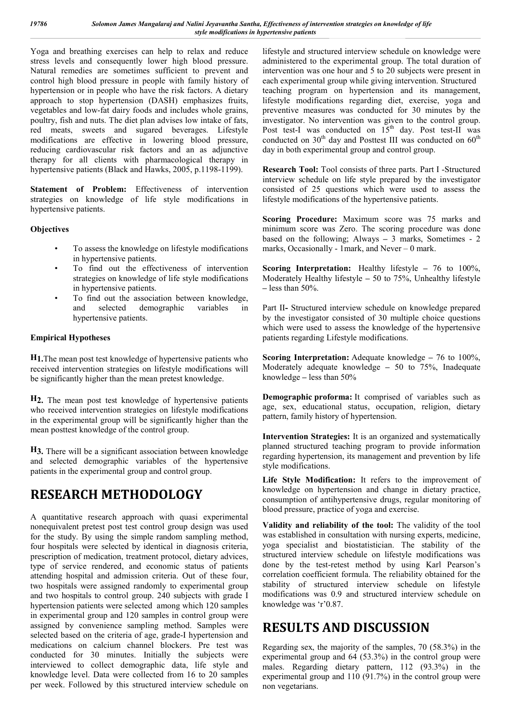Yoga and breathing exercises can help to relax and reduce stress levels and consequently lower high blood pressure. Natural remedies are sometimes sufficient to prevent and control high blood pressure in people with family history of hypertension or in people who have the risk factors. A dietary approach to stop hypertension (DASH) emphasizes fruits, vegetables and low-fat dairy foods and includes whole grains, poultry, fish and nuts. The diet plan advises low intake of fats, red meats, sweets and sugared beverages. Lifestyle modifications are effective in lowering blood pressure, reducing cardiovascular risk factors and an as adjunctive therapy for all clients with pharmacological therapy in hypertensive patients (Black and Hawks, 2005, p.1198-1199).

**Statement of Problem:** Effectiveness of intervention strategies on knowledge of life style modifications in hypertensive patients.

#### **Objectives**

- To assess the knowledge on lifestyle modifications in hypertensive patients.
- To find out the effectiveness of intervention strategies on knowledge of life style modifications in hypertensive patients.
- To find out the association between knowledge, and selected demographic variables in hypertensive patients.

#### **Empirical Hypotheses**

**H1.**The mean post test knowledge of hypertensive patients who received intervention strategies on lifestyle modifications will be significantly higher than the mean pretest knowledge.

**H2.** The mean post test knowledge of hypertensive patients who received intervention strategies on lifestyle modifications in the experimental group will be significantly higher than the mean posttest knowledge of the control group.

**H3.** There will be a significant association between knowledge and selected demographic variables of the hypertensive patients in the experimental group and control group.

## **RESEARCH METHODOLOGY**

A quantitative research approach with quasi experimental nonequivalent pretest post test control group design was used for the study. By using the simple random sampling method, four hospitals were selected by identical in diagnosis criteria, prescription of medication, treatment protocol, dietary advices, type of service rendered, and economic status of patients attending hospital and admission criteria. Out of these four, two hospitals were assigned randomly to experimental group and two hospitals to control group. 240 subjects with grade I hypertension patients were selected among which 120 samples in experimental group and 120 samples in control group were assigned by convenience sampling method. Samples were selected based on the criteria of age, grade-I hypertension and medications on calcium channel blockers. Pre test was conducted for 30 minutes. Initially the subjects were interviewed to collect demographic data, life style and knowledge level. Data were collected from 16 to 20 samples per week. Followed by this structured interview schedule on

lifestyle and structured interview schedule on knowledge were administered to the experimental group. The total duration of intervention was one hour and 5 to 20 subjects were present in each experimental group while giving intervention. Structured teaching program on hypertension and its management, lifestyle modifications regarding diet, exercise, yoga and preventive measures was conducted for 30 minutes by the investigator. No intervention was given to the control group. Post test-I was conducted on  $15<sup>th</sup>$  day. Post test-II was conducted on  $30<sup>th</sup>$  day and Posttest III was conducted on  $60<sup>th</sup>$ day in both experimental group and control group.

**Research Tool:** Tool consists of three parts. Part I -Structured interview schedule on life style prepared by the investigator consisted of 25 questions which were used to assess the lifestyle modifications of the hypertensive patients.

**Scoring Procedure:** Maximum score was 75 marks and minimum score was Zero. The scoring procedure was done based on the following; Always **–** 3 marks, Sometimes - 2 marks, Occasionally - 1mark, and Never – 0 mark.

**Scoring Interpretation:** Healthy lifestyle **–** 76 to 100%, Moderately Healthy lifestyle **–** 50 to 75%, Unhealthy lifestyle **–** less than 50%.

Part II**-** Structured interview schedule on knowledge prepared by the investigator consisted of 30 multiple choice questions which were used to assess the knowledge of the hypertensive patients regarding Lifestyle modifications.

**Scoring Interpretation:** Adequate knowledge **–** 76 to 100%, Moderately adequate knowledge **–** 50 to 75%, Inadequate knowledge **–** less than 50%

**Demographic proforma:** It comprised of variables such as age, sex, educational status, occupation, religion, dietary pattern, family history of hypertension.

**Intervention Strategies:** It is an organized and systematically planned structured teaching program to provide information regarding hypertension, its management and prevention by life style modifications.

**Life Style Modification:** It refers to the improvement of knowledge on hypertension and change in dietary practice, consumption of antihypertensive drugs, regular monitoring of blood pressure, practice of yoga and exercise.

**Validity and reliability of the tool:** The validity of the tool was established in consultation with nursing experts, medicine, yoga specialist and biostatistician. The stability of the structured interview schedule on lifestyle modifications was done by the test-retest method by using Karl Pearson's correlation coefficient formula. The reliability obtained for the stability of structured interview schedule on lifestyle modifications was 0.9 and structured interview schedule on knowledge was 'r'0.87.

## **RESULTS AND DISCUSSION**

Regarding sex, the majority of the samples, 70 (58.3%) in the experimental group and 64 (53.3%) in the control group were males. Regarding dietary pattern, 112 (93.3%) in the experimental group and 110 (91.7%) in the control group were non vegetarians.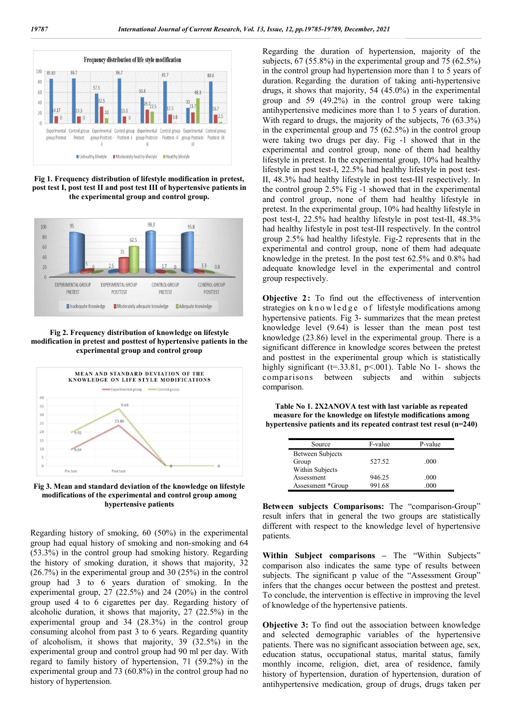

**Fig 1. Frequency distribution of lifestyle modification in pretest, post test I, post test II and post test III of hypertensive patients in the experimental group and control group.**



**Fig 2. Frequency distribution of knowledge on lifestyle modification in pretest and posttest of hypertensive patients in the experimental group and control group**



**Fig 3. Mean and standard deviation of the knowledge on lifestyle modifications of the experimental and control group among hypertensive patients**

Regarding history of smoking, 60 (50%) in the experimental group had equal history of smoking and non-smoking and 64 (53.3%) in the control group had smoking history. Regarding the history of smoking duration, it shows that majority, 32 (26.7%) in the experimental group and 30 (25%) in the control group had 3 to 6 years duration of smoking. In the experimental group, 27 (22.5%) and 24 (20%) in the control group used 4 to 6 cigarettes per day. Regarding history of alcoholic duration, it shows that majority, 27 (22.5%) in the experimental group and 34 (28.3%) in the control group consuming alcohol from past 3 to 6 years. Regarding quantity of alcoholism, it shows that majority, 39 (32.5%) in the experimental group and control group had 90 ml per day. With regard to family history of hypertension, 71 (59.2%) in the experimental group and 73 (60.8%) in the control group had no history of hypertension.

Regarding the duration of hypertension, majority of the subjects, 67 (55.8%) in the experimental group and 75 (62.5%) in the control group had hypertension more than 1 to 5 years of duration. Regarding the duration of taking anti-hypertensive drugs, it shows that majority, 54 (45.0%) in the experimental group and 59 (49.2%) in the control group were taking antihypertensive medicines more than 1 to 5 years of duration. With regard to drugs, the majority of the subjects, 76 (63.3%) in the experimental group and 75 (62.5%) in the control group were taking two drugs per day. Fig -1 showed that in the experimental and control group, none of them had healthy lifestyle in pretest. In the experimental group, 10% had healthy lifestyle in post test-I, 22.5% had healthy lifestyle in post test-II, 48.3% had healthy lifestyle in post test-III respectively. In the control group 2.5% Fig -1 showed that in the experimental and control group, none of them had healthy lifestyle in pretest. In the experimental group, 10% had healthy lifestyle in post test-I, 22.5% had healthy lifestyle in post test-II, 48.3% had healthy lifestyle in post test-III respectively. In the control group 2.5% had healthy lifestyle. Fig-2 represents that in the experimental and control group, none of them had adequate knowledge in the pretest. In the post test 62.5% and 0.8% had adequate knowledge level in the experimental and control group respectively.

**Objective 2:** To find out the effectiveness of intervention strategies on knowledge of lifestyle modifications among hypertensive patients. Fig 3- summarizes that the mean pretest knowledge level (9.64) is lesser than the mean post test knowledge (23.86) level in the experimental group. There is a significant difference in knowledge scores between the pretest and posttest in the experimental group which is statistically highly significant ( $t=33.81$ ,  $p<0.01$ ). Table No 1- shows the comparisons between subjects and within subjects comparison.

**Table No 1. 2X2ANOVA test with last variable as repeated measure for the knowledge on lifestyle modifications among hypertensive patients and its repeated contrast test resul (n=240)**

| Source            | F-value | P-value |
|-------------------|---------|---------|
| Between Subjects  |         |         |
| Group             | 527.52  | .000    |
| Within Subjects   |         |         |
| Assessment        | 946.25  | .000    |
| Assessment *Group | 991.68  | .000    |

**Between subjects Comparisons:** The "comparison-Group" result infers that in general the two groups are statistically different with respect to the knowledge level of hypertensive patients.

**Within Subject comparisons –** The "Within Subjects" comparison also indicates the same type of results between subjects. The significant p value of the "Assessment Group" infers that the changes occur between the posttest and pretest. To conclude, the intervention is effective in improving the level of knowledge of the hypertensive patients.

**Objective 3:** To find out the association between knowledge and selected demographic variables of the hypertensive patients. There was no significant association between age, sex, education status, occupational status, marital status, family monthly income, religion, diet, area of residence, family history of hypertension, duration of hypertension, duration of antihypertensive medication, group of drugs, drugs taken per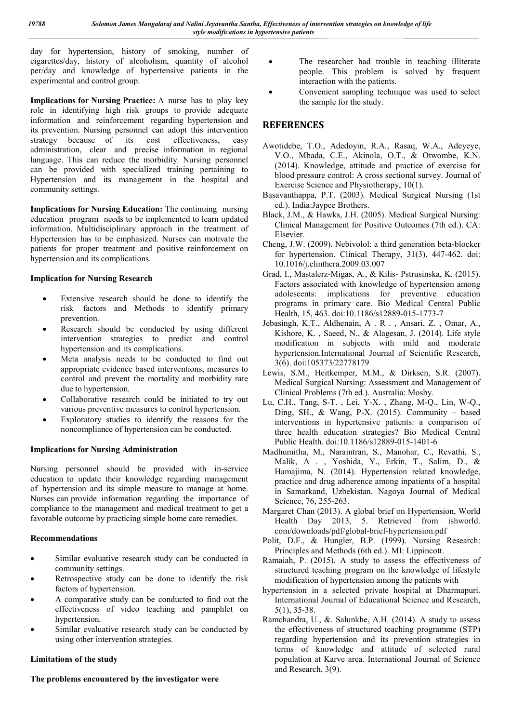day for hypertension, history of smoking, number of cigarettes/day, history of alcoholism, quantity of alcohol per/day and knowledge of hypertensive patients in the experimental and control group.

**Implications for Nursing Practice:** A nurse has to play key role in identifying high risk groups to provide adequate information and reinforcement regarding hypertension and its prevention. Nursing personnel can adopt this intervention strategy because of its cost effectiveness, easy administration, clear and precise information in regional language. This can reduce the morbidity. Nursing personnel can be provided with specialized training pertaining to Hypertension and its management in the hospital and community settings.

**Implications for Nursing Education:** The continuing nursing education program needs to be implemented to learn updated information. Multidisciplinary approach in the treatment of Hypertension has to be emphasized. Nurses can motivate the patients for proper treatment and positive reinforcement on hypertension and its complications.

#### **Implication for Nursing Research**

- Extensive research should be done to identify the risk factors and Methods to identify primary prevention.
- Research should be conducted by using different intervention strategies to predict and control hypertension and its complications.
- Meta analysis needs to be conducted to find out appropriate evidence based interventions, measures to control and prevent the mortality and morbidity rate due to hypertension.
- Collaborative research could be initiated to try out various preventive measures to control hypertension.
- Exploratory studies to identify the reasons for the noncompliance of hypertension can be conducted.

#### **Implications for Nursing Administration**

Nursing personnel should be provided with in-service education to update their knowledge regarding management of hypertension and its simple measure to manage at home. Nurses can provide information regarding the importance of compliance to the management and medical treatment to get a favorable outcome by practicing simple home care remedies.

#### **Recommendations**

- Similar evaluative research study can be conducted in community settings.
- Retrospective study can be done to identify the risk factors of hypertension.
- A comparative study can be conducted to find out the effectiveness of video teaching and pamphlet on hypertension.
- Similar evaluative research study can be conducted by using other intervention strategies.

#### **Limitations of the study**

#### **The problems encountered by the investigator were**

- The researcher had trouble in teaching illiterate people. This problem is solved by frequent interaction with the patients.
- Convenient sampling technique was used to select the sample for the study.

### **REFERENCES**

- Awotidebe, T.O., Adedoyin, R.A., Rasaq, W.A., Adeyeye, V.O., Mbada, C.E., Akinola, O.T., & Otwombe, K.N. (2014). Knowledge, attitude and practice of exercise for blood pressure control: A cross sectional survey. Journal of Exercise Science and Physiotherapy, 10(1).
- Basavanthappa, P.T. (2003). Medical Surgical Nursing (1st ed.). India:Jaypee Brothers.
- Black, J.M., & Hawks, J.H. (2005). Medical Surgical Nursing: Clinical Management for Positive Outcomes (7th ed.). CA: Elsevier.
- Cheng, J.W. (2009). Nebivolol: a third generation beta-blocker for hypertension. Clinical Therapy, 31(3), 447-462. doi: 10.1016/j.clinthera.2009.03.007
- Grad, I., Mastalerz-Migas, A., & Kilis- Pstrusinska, K. (2015). Factors associated with knowledge of hypertension among adolescents: implications for preventive education programs in primary care. Bio Medical Central Public Health, 15, 463. doi:10.1186/s12889-015-1773-7
- Jebasingh, K.T., Aldhenain, A . R . , Ansari, Z. , Omar, A., Kishore, K. , Saeed, N., & Alagesan, J. (2014). Life style modification in subjects with mild and moderate hypertension.International Journal of Scientific Research, 3(6). doi:105373/22778179
- Lewis, S.M., Heitkemper, M.M., & Dirksen, S.R. (2007). Medical Surgical Nursing: Assessment and Management of Clinical Problems (7th ed.). Australia: Mosby.
- Lu, C.H., Tang, S-T. , Lei, Y-X. , Zhang, M-Q., Lin, W-Q., Ding, SH., & Wang, P-X.  $(2015)$ . Community – based interventions in hypertensive patients: a comparison of three health education strategies? Bio Medical Central Public Health. doi:10.1186/s12889-015-1401-6
- Madhumitha, M., Naraintran, S., Manohar, C., Revathi, S., Malik, A . , Yoshida, Y., Erkin, T., Salim, D., & Hamajima, N. (2014). Hypertension related knowledge, practice and drug adherence among inpatients of a hospital in Samarkand, Uzbekistan. Nagoya Journal of Medical Science, 76, 255-263.
- Margaret Chan (2013). A global brief on Hypertension, World Health Day 2013, 5. Retrieved from ishworld. com/downloads/pdf/global-brief-hypertension.pdf
- Polit, D.F., & Hungler, B.P. (1999). Nursing Research: Principles and Methods (6th ed.). MI: Lippincott.
- Ramaiah, P. (2015). A study to assess the effectiveness of structured teaching program on the knowledge of lifestyle modification of hypertension among the patients with
- hypertension in a selected private hospital at Dharmapuri. International Journal of Educational Science and Research, 5(1), 35-38.
- Ramchandra, U., &. Salunkhe, A.H. (2014). A study to assess the effectiveness of structured teaching programme (STP) regarding hypertension and its prevention strategies in terms of knowledge and attitude of selected rural population at Karve area. International Journal of Science and Research, 3(9).